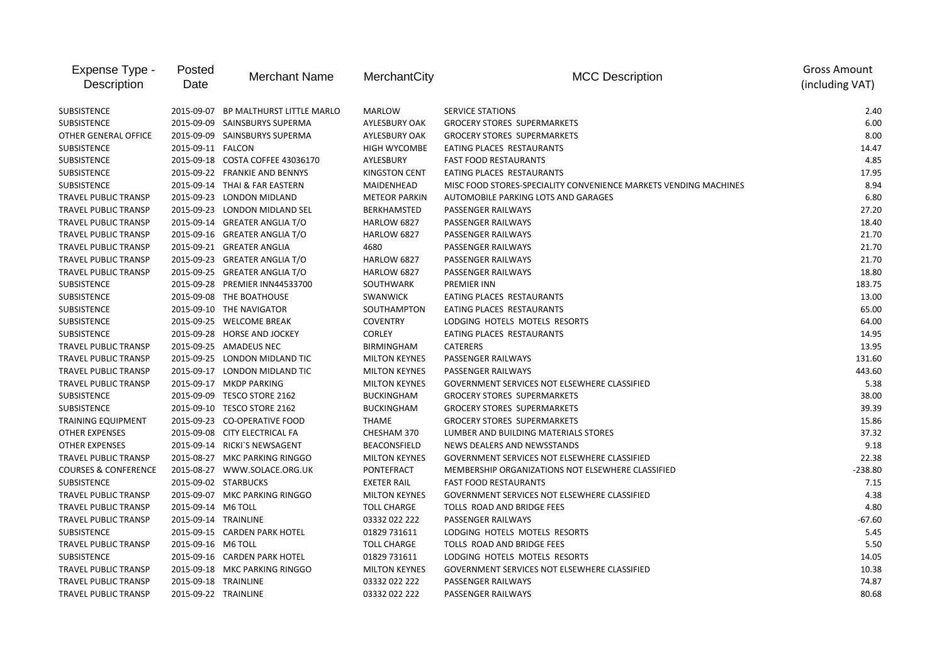| Expense Type -<br>Description   | Posted<br>Date     | <b>Merchant Name</b>             | MerchantCity         | <b>MCC Description</b>                                           | <b>Gross Amount</b><br>(including VAT) |
|---------------------------------|--------------------|----------------------------------|----------------------|------------------------------------------------------------------|----------------------------------------|
| SUBSISTENCE                     | 2015-09-07         | BP MALTHURST LITTLE MARLO        | MARLOW               | SERVICE STATIONS                                                 | 2.40                                   |
| <b>SUBSISTENCE</b>              |                    | 2015-09-09 SAINSBURYS SUPERMA    | AYLESBURY OAK        | <b>GROCERY STORES SUPERMARKETS</b>                               | 6.00                                   |
| OTHER GENERAL OFFICE            |                    | 2015-09-09 SAINSBURYS SUPERMA    | AYLESBURY OAK        | <b>GROCERY STORES SUPERMARKETS</b>                               | 8.00                                   |
| <b>SUBSISTENCE</b>              | 2015-09-11 FALCON  |                                  | <b>HIGH WYCOMBE</b>  | EATING PLACES RESTAURANTS                                        | 14.47                                  |
| SUBSISTENCE                     |                    | 2015-09-18 COSTA COFFEE 43036170 | AYLESBURY            | <b>FAST FOOD RESTAURANTS</b>                                     | 4.85                                   |
| SUBSISTENCE                     |                    | 2015-09-22 FRANKIE AND BENNYS    | <b>KINGSTON CENT</b> | EATING PLACES RESTAURANTS                                        | 17.95                                  |
| <b>SUBSISTENCE</b>              |                    | 2015-09-14 THAI & FAR EASTERN    | MAIDENHEAD           | MISC FOOD STORES-SPECIALITY CONVENIENCE MARKETS VENDING MACHINES | 8.94                                   |
| TRAVEL PUBLIC TRANSP            |                    | 2015-09-23 LONDON MIDLAND        | <b>METEOR PARKIN</b> | AUTOMOBILE PARKING LOTS AND GARAGES                              | 6.80                                   |
| TRAVEL PUBLIC TRANSP            |                    | 2015-09-23 LONDON MIDLAND SEL    | <b>BERKHAMSTED</b>   | PASSENGER RAILWAYS                                               | 27.20                                  |
| <b>TRAVEL PUBLIC TRANSP</b>     |                    | 2015-09-14 GREATER ANGLIA T/O    | HARLOW 6827          | PASSENGER RAILWAYS                                               | 18.40                                  |
| <b>TRAVEL PUBLIC TRANSP</b>     |                    | 2015-09-16 GREATER ANGLIA T/O    | <b>HARLOW 6827</b>   | PASSENGER RAILWAYS                                               | 21.70                                  |
| TRAVEL PUBLIC TRANSP            |                    | 2015-09-21 GREATER ANGLIA        | 4680                 | PASSENGER RAILWAYS                                               | 21.70                                  |
| TRAVEL PUBLIC TRANSP            |                    | 2015-09-23 GREATER ANGLIA T/O    | HARLOW 6827          | PASSENGER RAILWAYS                                               | 21.70                                  |
| TRAVEL PUBLIC TRANSP            |                    | 2015-09-25 GREATER ANGLIA T/O    | HARLOW 6827          | PASSENGER RAILWAYS                                               | 18.80                                  |
| <b>SUBSISTENCE</b>              |                    | 2015-09-28 PREMIER INN44533700   | SOUTHWARK            | PREMIER INN                                                      | 183.75                                 |
| SUBSISTENCE                     |                    | 2015-09-08 THE BOATHOUSE         | <b>SWANWICK</b>      | EATING PLACES RESTAURANTS                                        | 13.00                                  |
| SUBSISTENCE                     |                    | 2015-09-10 THE NAVIGATOR         | SOUTHAMPTON          | EATING PLACES RESTAURANTS                                        | 65.00                                  |
| SUBSISTENCE                     |                    | 2015-09-25 WELCOME BREAK         | <b>COVENTRY</b>      | LODGING HOTELS MOTELS RESORTS                                    | 64.00                                  |
| <b>SUBSISTENCE</b>              |                    | 2015-09-28 HORSE AND JOCKEY      | <b>CORLEY</b>        | EATING PLACES RESTAURANTS                                        | 14.95                                  |
| TRAVEL PUBLIC TRANSP            |                    | 2015-09-25 AMADEUS NEC           | BIRMINGHAM           | <b>CATERERS</b>                                                  | 13.95                                  |
| TRAVEL PUBLIC TRANSP            |                    | 2015-09-25 LONDON MIDLAND TIC    | <b>MILTON KEYNES</b> | PASSENGER RAILWAYS                                               | 131.60                                 |
| <b>TRAVEL PUBLIC TRANSP</b>     |                    | 2015-09-17 LONDON MIDLAND TIC    | <b>MILTON KEYNES</b> | PASSENGER RAILWAYS                                               | 443.60                                 |
| <b>TRAVEL PUBLIC TRANSP</b>     |                    | 2015-09-17 MKDP PARKING          | <b>MILTON KEYNES</b> | GOVERNMENT SERVICES NOT ELSEWHERE CLASSIFIED                     | 5.38                                   |
| <b>SUBSISTENCE</b>              |                    | 2015-09-09 TESCO STORE 2162      | <b>BUCKINGHAM</b>    | <b>GROCERY STORES SUPERMARKETS</b>                               | 38.00                                  |
| SUBSISTENCE                     |                    | 2015-09-10 TESCO STORE 2162      | <b>BUCKINGHAM</b>    | <b>GROCERY STORES SUPERMARKETS</b>                               | 39.39                                  |
| <b>TRAINING EQUIPMENT</b>       |                    | 2015-09-23 CO-OPERATIVE FOOD     | THAME                | <b>GROCERY STORES SUPERMARKETS</b>                               | 15.86                                  |
| <b>OTHER EXPENSES</b>           |                    | 2015-09-08 CITY ELECTRICAL FA    | CHESHAM 370          | LUMBER AND BUILDING MATERIALS STORES                             | 37.32                                  |
| <b>OTHER EXPENSES</b>           |                    | 2015-09-14 RICKI'S NEWSAGENT     | <b>BEACONSFIELD</b>  | NEWS DEALERS AND NEWSSTANDS                                      | 9.18                                   |
| TRAVEL PUBLIC TRANSP            |                    | 2015-08-27 MKC PARKING RINGGO    | <b>MILTON KEYNES</b> | GOVERNMENT SERVICES NOT ELSEWHERE CLASSIFIED                     | 22.38                                  |
| <b>COURSES &amp; CONFERENCE</b> |                    | 2015-08-27 WWW.SOLACE.ORG.UK     | PONTEFRACT           | MEMBERSHIP ORGANIZATIONS NOT ELSEWHERE CLASSIFIED                | $-238.80$                              |
| <b>SUBSISTENCE</b>              |                    | 2015-09-02 STARBUCKS             | <b>EXETER RAIL</b>   | <b>FAST FOOD RESTAURANTS</b>                                     | 7.15                                   |
| TRAVEL PUBLIC TRANSP            |                    | 2015-09-07 MKC PARKING RINGGO    | <b>MILTON KEYNES</b> | GOVERNMENT SERVICES NOT ELSEWHERE CLASSIFIED                     | 4.38                                   |
| TRAVEL PUBLIC TRANSP            | 2015-09-14 M6 TOLL |                                  | <b>TOLL CHARGE</b>   | TOLLS ROAD AND BRIDGE FEES                                       | 4.80                                   |
| TRAVEL PUBLIC TRANSP            |                    | 2015-09-14 TRAINLINE             | 03332 022 222        | PASSENGER RAILWAYS                                               | $-67.60$                               |
| <b>SUBSISTENCE</b>              |                    | 2015-09-15 CARDEN PARK HOTEL     | 01829 731611         | LODGING HOTELS MOTELS RESORTS                                    | 5.45                                   |
| <b>TRAVEL PUBLIC TRANSP</b>     | 2015-09-16 M6 TOLL |                                  | <b>TOLL CHARGE</b>   | TOLLS ROAD AND BRIDGE FEES                                       | 5.50                                   |
| <b>SUBSISTENCE</b>              |                    | 2015-09-16 CARDEN PARK HOTEL     | 01829 731611         | LODGING HOTELS MOTELS RESORTS                                    | 14.05                                  |
| TRAVEL PUBLIC TRANSP            |                    | 2015-09-18 MKC PARKING RINGGO    | <b>MILTON KEYNES</b> | GOVERNMENT SERVICES NOT ELSEWHERE CLASSIFIED                     | 10.38                                  |
| <b>TRAVEL PUBLIC TRANSP</b>     |                    | 2015-09-18 TRAINLINE             | 03332 022 222        | PASSENGER RAILWAYS                                               | 74.87                                  |
| <b>TRAVEL PUBLIC TRANSP</b>     |                    | 2015-09-22 TRAINLINE             | 03332 022 222        | PASSENGER RAILWAYS                                               | 80.68                                  |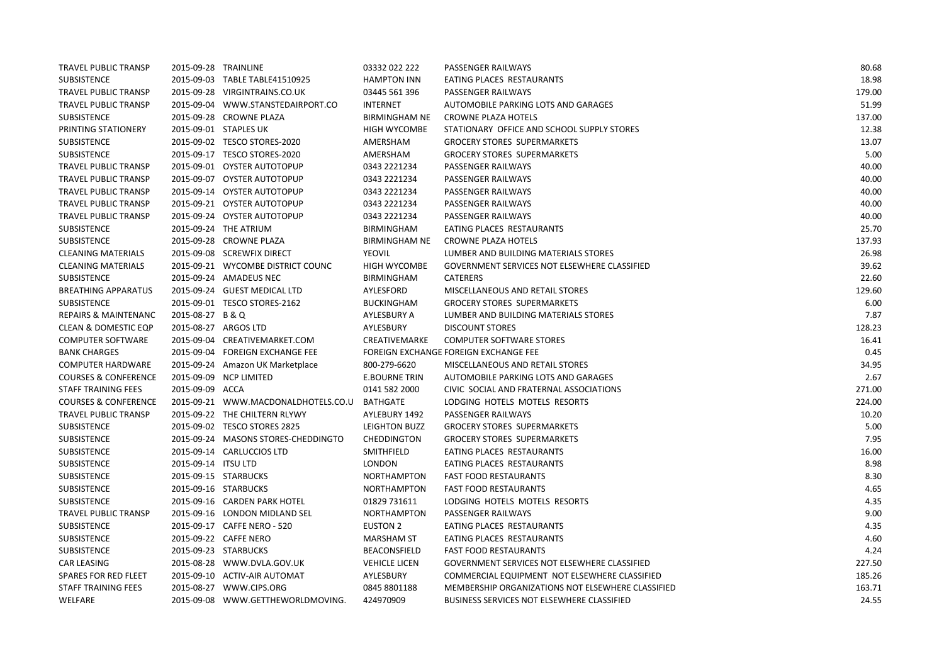| <b>TRAVEL PUBLIC TRANSP</b>     | 2015-09-28 TRAINLINE |                                     | 03332 022 222        | PASSENGER RAILWAYS                                | 80.68  |
|---------------------------------|----------------------|-------------------------------------|----------------------|---------------------------------------------------|--------|
| SUBSISTENCE                     |                      | 2015-09-03 TABLE TABLE41510925      | <b>HAMPTON INN</b>   | EATING PLACES RESTAURANTS                         | 18.98  |
| TRAVEL PUBLIC TRANSP            |                      | 2015-09-28 VIRGINTRAINS.CO.UK       | 03445 561 396        | PASSENGER RAILWAYS                                | 179.00 |
| TRAVEL PUBLIC TRANSP            |                      | 2015-09-04 WWW.STANSTEDAIRPORT.CO   | <b>INTERNET</b>      | AUTOMOBILE PARKING LOTS AND GARAGES               | 51.99  |
| SUBSISTENCE                     |                      | 2015-09-28 CROWNE PLAZA             | <b>BIRMINGHAM NE</b> | CROWNE PLAZA HOTELS                               | 137.00 |
| PRINTING STATIONERY             |                      | 2015-09-01 STAPLES UK               | <b>HIGH WYCOMBE</b>  | STATIONARY OFFICE AND SCHOOL SUPPLY STORES        | 12.38  |
| SUBSISTENCE                     |                      | 2015-09-02 TESCO STORES-2020        | AMERSHAM             | <b>GROCERY STORES SUPERMARKETS</b>                | 13.07  |
| SUBSISTENCE                     |                      | 2015-09-17 TESCO STORES-2020        | AMERSHAM             | <b>GROCERY STORES SUPERMARKETS</b>                | 5.00   |
| TRAVEL PUBLIC TRANSP            |                      | 2015-09-01 OYSTER AUTOTOPUP         | 0343 2221234         | PASSENGER RAILWAYS                                | 40.00  |
| <b>TRAVEL PUBLIC TRANSP</b>     |                      | 2015-09-07 OYSTER AUTOTOPUP         | 0343 2221234         | PASSENGER RAILWAYS                                | 40.00  |
| <b>TRAVEL PUBLIC TRANSP</b>     |                      | 2015-09-14 OYSTER AUTOTOPUP         | 0343 2221234         | PASSENGER RAILWAYS                                | 40.00  |
| <b>TRAVEL PUBLIC TRANSP</b>     |                      | 2015-09-21 OYSTER AUTOTOPUP         | 0343 2221234         | PASSENGER RAILWAYS                                | 40.00  |
| <b>TRAVEL PUBLIC TRANSP</b>     |                      | 2015-09-24 OYSTER AUTOTOPUP         | 0343 2221234         | PASSENGER RAILWAYS                                | 40.00  |
| SUBSISTENCE                     |                      | 2015-09-24 THE ATRIUM               | <b>BIRMINGHAM</b>    | EATING PLACES RESTAURANTS                         | 25.70  |
| SUBSISTENCE                     |                      | 2015-09-28 CROWNE PLAZA             | <b>BIRMINGHAM NE</b> | <b>CROWNE PLAZA HOTELS</b>                        | 137.93 |
| <b>CLEANING MATERIALS</b>       |                      | 2015-09-08 SCREWFIX DIRECT          | <b>YEOVIL</b>        | LUMBER AND BUILDING MATERIALS STORES              | 26.98  |
| <b>CLEANING MATERIALS</b>       |                      | 2015-09-21 WYCOMBE DISTRICT COUNC   | <b>HIGH WYCOMBE</b>  | GOVERNMENT SERVICES NOT ELSEWHERE CLASSIFIED      | 39.62  |
| SUBSISTENCE                     |                      | 2015-09-24 AMADEUS NEC              | BIRMINGHAM           | <b>CATERERS</b>                                   | 22.60  |
| <b>BREATHING APPARATUS</b>      |                      | 2015-09-24 GUEST MEDICAL LTD        | AYLESFORD            | MISCELLANEOUS AND RETAIL STORES                   | 129.60 |
| SUBSISTENCE                     |                      | 2015-09-01 TESCO STORES-2162        | <b>BUCKINGHAM</b>    | <b>GROCERY STORES SUPERMARKETS</b>                | 6.00   |
| <b>REPAIRS &amp; MAINTENANC</b> | 2015-08-27 B & Q     |                                     | AYLESBURY A          | LUMBER AND BUILDING MATERIALS STORES              | 7.87   |
| <b>CLEAN &amp; DOMESTIC EQP</b> |                      | 2015-08-27 ARGOS LTD                | AYLESBURY            | <b>DISCOUNT STORES</b>                            | 128.23 |
| <b>COMPUTER SOFTWARE</b>        |                      | 2015-09-04 CREATIVEMARKET.COM       | CREATIVEMARKE        | <b>COMPUTER SOFTWARE STORES</b>                   | 16.41  |
| <b>BANK CHARGES</b>             |                      | 2015-09-04 FOREIGN EXCHANGE FEE     |                      | FOREIGN EXCHANGE FOREIGN EXCHANGE FEE             | 0.45   |
| <b>COMPUTER HARDWARE</b>        |                      | 2015-09-24 Amazon UK Marketplace    | 800-279-6620         | MISCELLANEOUS AND RETAIL STORES                   | 34.95  |
| <b>COURSES &amp; CONFERENCE</b> |                      | 2015-09-09 NCP LIMITED              | <b>E.BOURNE TRIN</b> | AUTOMOBILE PARKING LOTS AND GARAGES               | 2.67   |
| <b>STAFF TRAINING FEES</b>      | 2015-09-09 ACCA      |                                     | 0141 582 2000        | CIVIC SOCIAL AND FRATERNAL ASSOCIATIONS           | 271.00 |
| <b>COURSES &amp; CONFERENCE</b> |                      | 2015-09-21 WWW.MACDONALDHOTELS.CO.U | <b>BATHGATE</b>      | LODGING HOTELS MOTELS RESORTS                     | 224.00 |
| <b>TRAVEL PUBLIC TRANSP</b>     |                      | 2015-09-22 THE CHILTERN RLYWY       | AYLEBURY 1492        | PASSENGER RAILWAYS                                | 10.20  |
| SUBSISTENCE                     |                      | 2015-09-02 TESCO STORES 2825        | <b>LEIGHTON BUZZ</b> | <b>GROCERY STORES SUPERMARKETS</b>                | 5.00   |
| SUBSISTENCE                     |                      | 2015-09-24 MASONS STORES-CHEDDINGTO | CHEDDINGTON          | <b>GROCERY STORES SUPERMARKETS</b>                | 7.95   |
| SUBSISTENCE                     |                      | 2015-09-14 CARLUCCIOS LTD           | <b>SMITHFIELD</b>    | EATING PLACES RESTAURANTS                         | 16.00  |
| <b>SUBSISTENCE</b>              | 2015-09-14 ITSU LTD  |                                     | <b>LONDON</b>        | EATING PLACES RESTAURANTS                         | 8.98   |
| SUBSISTENCE                     |                      | 2015-09-15 STARBUCKS                | <b>NORTHAMPTON</b>   | <b>FAST FOOD RESTAURANTS</b>                      | 8.30   |
| SUBSISTENCE                     |                      | 2015-09-16 STARBUCKS                | <b>NORTHAMPTON</b>   | <b>FAST FOOD RESTAURANTS</b>                      | 4.65   |
| SUBSISTENCE                     |                      | 2015-09-16 CARDEN PARK HOTEL        | 01829 731611         | LODGING HOTELS MOTELS RESORTS                     | 4.35   |
| TRAVEL PUBLIC TRANSP            |                      | 2015-09-16 LONDON MIDLAND SEL       | <b>NORTHAMPTON</b>   | PASSENGER RAILWAYS                                | 9.00   |
| SUBSISTENCE                     |                      | 2015-09-17 CAFFE NERO - 520         | <b>EUSTON 2</b>      | EATING PLACES RESTAURANTS                         | 4.35   |
| SUBSISTENCE                     |                      | 2015-09-22 CAFFE NERO               | <b>MARSHAM ST</b>    | EATING PLACES RESTAURANTS                         | 4.60   |
| SUBSISTENCE                     |                      | 2015-09-23 STARBUCKS                | <b>BEACONSFIELD</b>  | <b>FAST FOOD RESTAURANTS</b>                      | 4.24   |
| CAR LEASING                     |                      | 2015-08-28 WWW.DVLA.GOV.UK          | <b>VEHICLE LICEN</b> | GOVERNMENT SERVICES NOT ELSEWHERE CLASSIFIED      | 227.50 |
| <b>SPARES FOR RED FLEET</b>     |                      | 2015-09-10 ACTIV-AIR AUTOMAT        | AYLESBURY            | COMMERCIAL EQUIPMENT NOT ELSEWHERE CLASSIFIED     | 185.26 |
| STAFF TRAINING FEES             |                      | 2015-08-27 WWW.CIPS.ORG             | 0845 8801188         | MEMBERSHIP ORGANIZATIONS NOT ELSEWHERE CLASSIFIED | 163.71 |
| WELFARE                         |                      | 2015-09-08 WWW.GETTHEWORLDMOVING.   | 424970909            | <b>BUSINESS SERVICES NOT ELSEWHERE CLASSIFIED</b> | 24.55  |